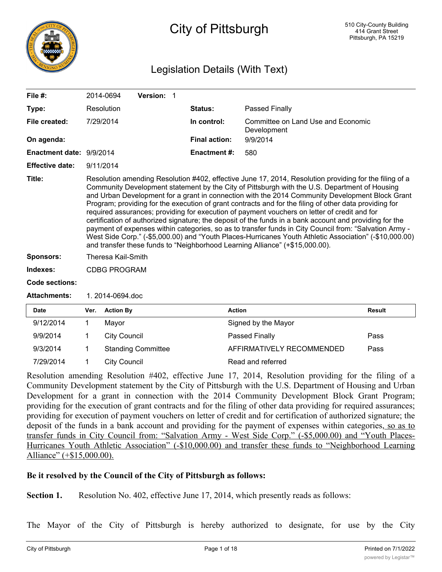

# City of Pittsburgh

## Legislation Details (With Text)

| File $#$ :               | 2014-0694           | Version: 1 |                      |                                                                                                                                                                                                                                                                                                                                                                                                                                                                                                                                                                                                                                                                                                                                                                                                                                                                                                                                     |
|--------------------------|---------------------|------------|----------------------|-------------------------------------------------------------------------------------------------------------------------------------------------------------------------------------------------------------------------------------------------------------------------------------------------------------------------------------------------------------------------------------------------------------------------------------------------------------------------------------------------------------------------------------------------------------------------------------------------------------------------------------------------------------------------------------------------------------------------------------------------------------------------------------------------------------------------------------------------------------------------------------------------------------------------------------|
| Type:                    | Resolution          |            | <b>Status:</b>       | <b>Passed Finally</b>                                                                                                                                                                                                                                                                                                                                                                                                                                                                                                                                                                                                                                                                                                                                                                                                                                                                                                               |
| File created:            | 7/29/2014           |            | In control:          | Committee on Land Use and Economic<br>Development                                                                                                                                                                                                                                                                                                                                                                                                                                                                                                                                                                                                                                                                                                                                                                                                                                                                                   |
| On agenda:               |                     |            | <b>Final action:</b> | 9/9/2014                                                                                                                                                                                                                                                                                                                                                                                                                                                                                                                                                                                                                                                                                                                                                                                                                                                                                                                            |
| Enactment date: 9/9/2014 |                     |            | <b>Enactment #:</b>  | 580                                                                                                                                                                                                                                                                                                                                                                                                                                                                                                                                                                                                                                                                                                                                                                                                                                                                                                                                 |
| <b>Effective date:</b>   | 9/11/2014           |            |                      |                                                                                                                                                                                                                                                                                                                                                                                                                                                                                                                                                                                                                                                                                                                                                                                                                                                                                                                                     |
| Title:                   |                     |            |                      | Resolution amending Resolution #402, effective June 17, 2014, Resolution providing for the filing of a<br>Community Development statement by the City of Pittsburgh with the U.S. Department of Housing<br>and Urban Development for a grant in connection with the 2014 Community Development Block Grant<br>Program; providing for the execution of grant contracts and for the filing of other data providing for<br>required assurances; providing for execution of payment vouchers on letter of credit and for<br>certification of authorized signature; the deposit of the funds in a bank account and providing for the<br>payment of expenses within categories, so as to transfer funds in City Council from: "Salvation Army -<br>West Side Corp." (-\$5,000.00) and "Youth Places-Hurricanes Youth Athletic Association" (-\$10,000.00)<br>and transfer these funds to "Neighborhood Learning Alliance" (+\$15,000.00). |
| <b>Sponsors:</b>         | Theresa Kail-Smith  |            |                      |                                                                                                                                                                                                                                                                                                                                                                                                                                                                                                                                                                                                                                                                                                                                                                                                                                                                                                                                     |
| Indexes:                 | <b>CDBG PROGRAM</b> |            |                      |                                                                                                                                                                                                                                                                                                                                                                                                                                                                                                                                                                                                                                                                                                                                                                                                                                                                                                                                     |
| <b>Code sections:</b>    |                     |            |                      |                                                                                                                                                                                                                                                                                                                                                                                                                                                                                                                                                                                                                                                                                                                                                                                                                                                                                                                                     |
| <b>Attachments:</b>      | 1. 2014-0694.doc    |            |                      |                                                                                                                                                                                                                                                                                                                                                                                                                                                                                                                                                                                                                                                                                                                                                                                                                                                                                                                                     |

| <b>Date</b> | Ver. | <b>Action By</b>          | <b>Action</b>             | <b>Result</b> |
|-------------|------|---------------------------|---------------------------|---------------|
| 9/12/2014   |      | Mavor                     | Signed by the Mayor       |               |
| 9/9/2014    |      | City Council              | Passed Finally            | Pass          |
| 9/3/2014    |      | <b>Standing Committee</b> | AFFIRMATIVELY RECOMMENDED | Pass          |
| 7/29/2014   |      | City Council              | Read and referred         |               |

Resolution amending Resolution #402, effective June 17, 2014, Resolution providing for the filing of a Community Development statement by the City of Pittsburgh with the U.S. Department of Housing and Urban Development for a grant in connection with the 2014 Community Development Block Grant Program; providing for the execution of grant contracts and for the filing of other data providing for required assurances; providing for execution of payment vouchers on letter of credit and for certification of authorized signature; the deposit of the funds in a bank account and providing for the payment of expenses within categories, so as to transfer funds in City Council from: "Salvation Army - West Side Corp." (-\$5,000.00) and "Youth Places-Hurricanes Youth Athletic Association" (-\$10,000.00) and transfer these funds to "Neighborhood Learning Alliance" (+\$15,000.00).

### **Be it resolved by the Council of the City of Pittsburgh as follows:**

**Section 1.** Resolution No. 402, effective June 17, 2014, which presently reads as follows:

The Mayor of the City of Pittsburgh is hereby authorized to designate, for use by the City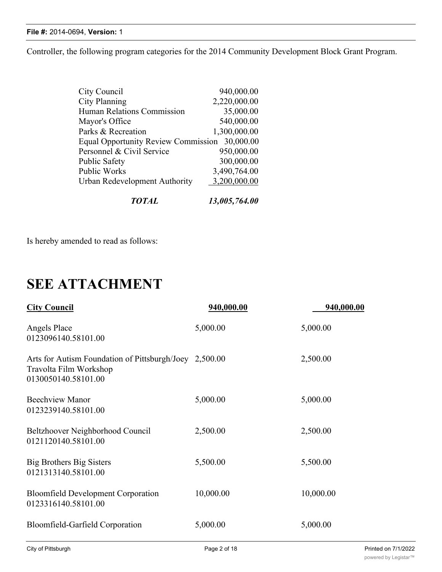#### **File #:** 2014-0694, **Version:** 1

Controller, the following program categories for the 2014 Community Development Block Grant Program.

| 13,005,764.00                                 |
|-----------------------------------------------|
| 3,200,000.00                                  |
| 3,490,764.00                                  |
| 300,000.00                                    |
| 950,000.00                                    |
| Equal Opportunity Review Commission 30,000.00 |
| 1,300,000.00                                  |
| 540,000.00                                    |
| 35,000.00                                     |
| 2,220,000.00                                  |
| 940,000.00                                    |
|                                               |

Is hereby amended to read as follows:

# **SEE ATTACHMENT**

| <b>City Council</b>                                                                                     | 940,000.00 | 940,000.00 |
|---------------------------------------------------------------------------------------------------------|------------|------------|
| Angels Place<br>0123096140.58101.00                                                                     | 5,000.00   | 5,000.00   |
| Arts for Autism Foundation of Pittsburgh/Joey 2,500.00<br>Travolta Film Workshop<br>0130050140.58101.00 |            | 2,500.00   |
| <b>Beechview Manor</b><br>0123239140.58101.00                                                           | 5,000.00   | 5,000.00   |
| Beltzhoover Neighborhood Council<br>0121120140.58101.00                                                 | 2,500.00   | 2,500.00   |
| Big Brothers Big Sisters<br>0121313140.58101.00                                                         | 5,500.00   | 5,500.00   |
| <b>Bloomfield Development Corporation</b><br>0123316140.58101.00                                        | 10,000.00  | 10,000.00  |
| Bloomfield-Garfield Corporation                                                                         | 5,000.00   | 5,000.00   |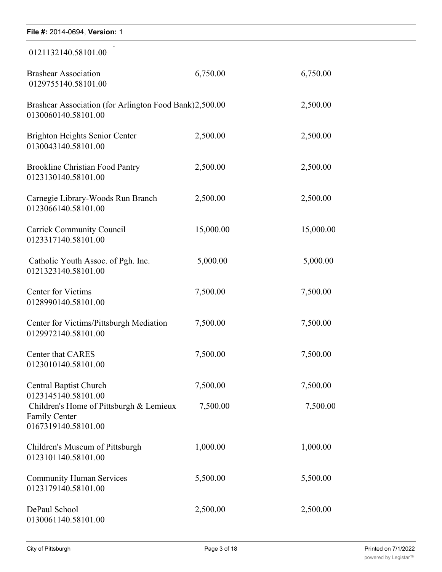| File #: 2014-0694, Version: 1                                                          |           |           |  |
|----------------------------------------------------------------------------------------|-----------|-----------|--|
| 0121132140.58101.00                                                                    |           |           |  |
| <b>Brashear Association</b><br>0129755140.58101.00                                     | 6,750.00  | 6,750.00  |  |
| Brashear Association (for Arlington Food Bank)2,500.00<br>0130060140.58101.00          |           | 2,500.00  |  |
| Brighton Heights Senior Center<br>0130043140.58101.00                                  | 2,500.00  | 2,500.00  |  |
| <b>Brookline Christian Food Pantry</b><br>0123130140.58101.00                          | 2,500.00  | 2,500.00  |  |
| Carnegie Library-Woods Run Branch<br>0123066140.58101.00                               | 2,500.00  | 2,500.00  |  |
| <b>Carrick Community Council</b><br>0123317140.58101.00                                | 15,000.00 | 15,000.00 |  |
| Catholic Youth Assoc. of Pgh. Inc.<br>0121323140.58101.00                              | 5,000.00  | 5,000.00  |  |
| <b>Center for Victims</b><br>0128990140.58101.00                                       | 7,500.00  | 7,500.00  |  |
| Center for Victims/Pittsburgh Mediation<br>0129972140.58101.00                         | 7,500.00  | 7,500.00  |  |
| <b>Center that CARES</b><br>0123010140.58101.00                                        | 7,500.00  | 7,500.00  |  |
| <b>Central Baptist Church</b><br>0123145140.58101.00                                   | 7,500.00  | 7,500.00  |  |
| Children's Home of Pittsburgh & Lemieux<br><b>Family Center</b><br>0167319140.58101.00 | 7,500.00  | 7,500.00  |  |
| Children's Museum of Pittsburgh<br>0123101140.58101.00                                 | 1,000.00  | 1,000.00  |  |
| <b>Community Human Services</b><br>0123179140.58101.00                                 | 5,500.00  | 5,500.00  |  |
| DePaul School<br>0130061140.58101.00                                                   | 2,500.00  | 2,500.00  |  |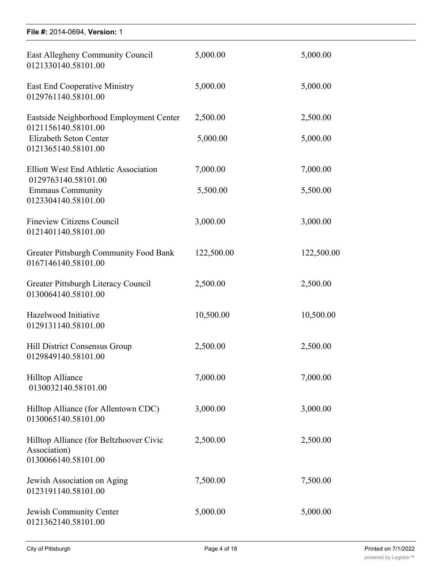| File #: 2014-0694, Version: 1                                                  |            |            |
|--------------------------------------------------------------------------------|------------|------------|
| East Allegheny Community Council<br>0121330140.58101.00                        | 5,000.00   | 5,000.00   |
| <b>East End Cooperative Ministry</b><br>0129761140.58101.00                    | 5,000.00   | 5,000.00   |
| Eastside Neighborhood Employment Center<br>0121156140.58101.00                 | 2,500.00   | 2,500.00   |
| Elizabeth Seton Center<br>0121365140.58101.00                                  | 5,000.00   | 5,000.00   |
| <b>Elliott West End Athletic Association</b><br>0129763140.58101.00            | 7,000.00   | 7,000.00   |
| <b>Emmaus Community</b><br>0123304140.58101.00                                 | 5,500.00   | 5,500.00   |
| <b>Fineview Citizens Council</b><br>0121401140.58101.00                        | 3,000.00   | 3,000.00   |
| <b>Greater Pittsburgh Community Food Bank</b><br>0167146140.58101.00           | 122,500.00 | 122,500.00 |
| Greater Pittsburgh Literacy Council<br>0130064140.58101.00                     | 2,500.00   | 2,500.00   |
| Hazelwood Initiative<br>0129131140.58101.00                                    | 10,500.00  | 10,500.00  |
| Hill District Consensus Group<br>0129849140.58101.00                           | 2,500.00   | 2,500.00   |
| <b>Hilltop Alliance</b><br>0130032140.58101.00                                 | 7,000.00   | 7,000.00   |
| Hilltop Alliance (for Allentown CDC)<br>0130065140.58101.00                    | 3,000.00   | 3,000.00   |
| Hilltop Alliance (for Beltzhoover Civic<br>Association)<br>0130066140.58101.00 | 2,500.00   | 2,500.00   |
| Jewish Association on Aging<br>0123191140.58101.00                             | 7,500.00   | 7,500.00   |
| Jewish Community Center<br>0121362140.58101.00                                 | 5,000.00   | 5,000.00   |

department of the particle of the particle of the particle of the particle of the particle of the particle of<br>Department of the particle of the particle of the particle of the particle of the particle of the particle of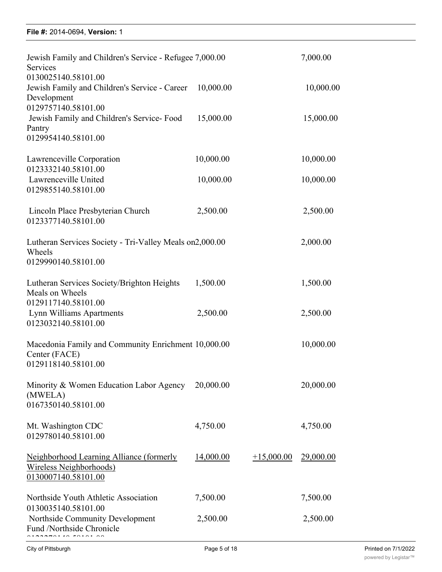### **File #:** 2014-0694, Version: 1  $0.116 + 2014 - 0094, \text{V}$

| Jewish Family and Children's Service - Refugee 7,000.00<br>Services                               |           |              | 7,000.00         |
|---------------------------------------------------------------------------------------------------|-----------|--------------|------------------|
| 0130025140.58101.00<br>Jewish Family and Children's Service - Career<br>Development               | 10,000.00 |              | 10,000.00        |
| 0129757140.58101.00<br>Jewish Family and Children's Service-Food<br>Pantry<br>0129954140.58101.00 | 15,000.00 |              | 15,000.00        |
| Lawrenceville Corporation                                                                         | 10,000.00 |              | 10,000.00        |
| 0123332140.58101.00<br>Lawrenceville United<br>0129855140.58101.00                                | 10,000.00 |              | 10,000.00        |
| Lincoln Place Presbyterian Church<br>0123377140.58101.00                                          | 2,500.00  |              | 2,500.00         |
| Lutheran Services Society - Tri-Valley Meals on 2,000.00<br>Wheels<br>0129990140.58101.00         |           |              | 2,000.00         |
| Lutheran Services Society/Brighton Heights<br>Meals on Wheels                                     | 1,500.00  |              | 1,500.00         |
| 0129117140.58101.00<br>Lynn Williams Apartments<br>0123032140.58101.00                            | 2,500.00  |              | 2,500.00         |
| Macedonia Family and Community Enrichment 10,000.00<br>Center (FACE)<br>0129118140.58101.00       |           |              | 10,000.00        |
| Minority & Women Education Labor Agency<br>(MWELA)<br>0167350140.58101.00                         | 20,000.00 |              | 20,000.00        |
| Mt. Washington CDC<br>0129780140.58101.00                                                         | 4,750.00  |              | 4,750.00         |
| Neighborhood Learning Alliance (formerly<br>Wireless Neighborhoods)<br>0130007140.58101.00        | 14,000.00 | $+15,000.00$ | <u>29,000.00</u> |
| Northside Youth Athletic Association<br>0130035140.58101.00                                       | 7,500.00  |              | 7,500.00         |
| Northside Community Development<br>Fund /Northside Chronicle                                      | 2,500.00  |              | 2,500.00         |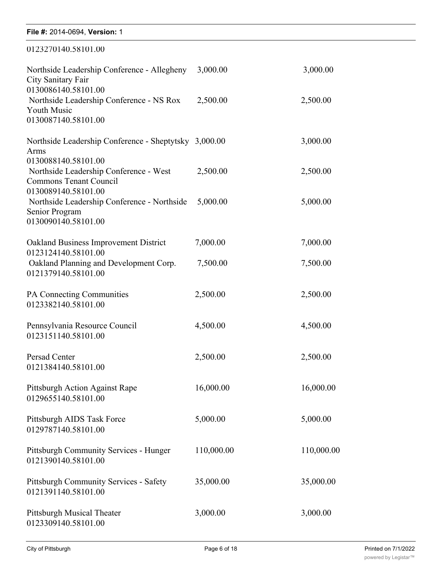| File #: 2014-0694, Version: 1                                                                  |            |            |
|------------------------------------------------------------------------------------------------|------------|------------|
| 0123270140.58101.00                                                                            |            |            |
| Northside Leadership Conference - Allegheny<br>City Sanitary Fair<br>0130086140.58101.00       | 3,000.00   | 3,000.00   |
| Northside Leadership Conference - NS Rox<br><b>Youth Music</b><br>0130087140.58101.00          | 2,500.00   | 2,500.00   |
| Northside Leadership Conference - Sheptytsky 3,000.00<br>Arms<br>0130088140.58101.00           |            | 3,000.00   |
| Northside Leadership Conference - West<br><b>Commons Tenant Council</b><br>0130089140.58101.00 | 2,500.00   | 2,500.00   |
| Northside Leadership Conference - Northside<br>Senior Program<br>0130090140.58101.00           | 5,000.00   | 5,000.00   |
| Oakland Business Improvement District<br>0123124140.58101.00                                   | 7,000.00   | 7,000.00   |
| Oakland Planning and Development Corp.<br>0121379140.58101.00                                  | 7,500.00   | 7,500.00   |
| PA Connecting Communities<br>0123382140.58101.00                                               | 2,500.00   | 2,500.00   |
| Pennsylvania Resource Council<br>0123151140.58101.00                                           | 4,500.00   | 4,500.00   |
| Persad Center<br>0121384140.58101.00                                                           | 2,500.00   | 2,500.00   |
| Pittsburgh Action Against Rape<br>0129655140.58101.00                                          | 16,000.00  | 16,000.00  |
| Pittsburgh AIDS Task Force<br>0129787140.58101.00                                              | 5,000.00   | 5,000.00   |
| Pittsburgh Community Services - Hunger<br>0121390140.58101.00                                  | 110,000.00 | 110,000.00 |
| Pittsburgh Community Services - Safety<br>0121391140.58101.00                                  | 35,000.00  | 35,000.00  |
| <b>Pittsburgh Musical Theater</b><br>0123309140.58101.00                                       | 3,000.00   | 3,000.00   |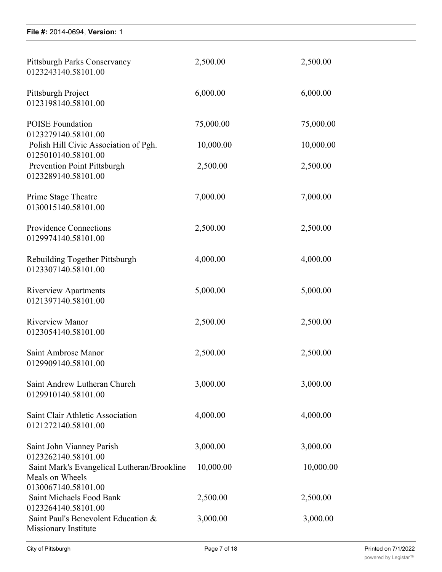0123309140.58101.00

| Pittsburgh Parks Conservancy<br>0123243140.58101.00          | 2,500.00  | 2,500.00  |
|--------------------------------------------------------------|-----------|-----------|
| Pittsburgh Project<br>0123198140.58101.00                    | 6,000.00  | 6,000.00  |
| <b>POISE</b> Foundation<br>0123279140.58101.00               | 75,000.00 | 75,000.00 |
| Polish Hill Civic Association of Pgh.<br>0125010140.58101.00 | 10,000.00 | 10,000.00 |
| Prevention Point Pittsburgh<br>0123289140.58101.00           | 2,500.00  | 2,500.00  |
| Prime Stage Theatre<br>0130015140.58101.00                   | 7,000.00  | 7,000.00  |
| <b>Providence Connections</b><br>0129974140.58101.00         | 2,500.00  | 2,500.00  |
| Rebuilding Together Pittsburgh<br>0123307140.58101.00        | 4,000.00  | 4,000.00  |
| <b>Riverview Apartments</b><br>0121397140.58101.00           | 5,000.00  | 5,000.00  |
| <b>Riverview Manor</b><br>0123054140.58101.00                | 2,500.00  | 2,500.00  |
| Saint Ambrose Manor<br>0129909140.58101.00                   | 2,500.00  | 2,500.00  |
| Saint Andrew Lutheran Church<br>0129910140.58101.00          | 3,000.00  | 3,000.00  |
| Saint Clair Athletic Association<br>0121272140.58101.00      | 4,000.00  | 4,000.00  |
| Saint John Vianney Parish<br>0123262140.58101.00             | 3,000.00  | 3,000.00  |
| Saint Mark's Evangelical Lutheran/Brookline                  | 10,000.00 | 10,000.00 |
| Meals on Wheels<br>0130067140.58101.00                       |           |           |
| Saint Michaels Food Bank<br>0123264140.58101.00              | 2,500.00  | 2,500.00  |
| Saint Paul's Benevolent Education &<br>Missionary Institute  | 3,000.00  | 3,000.00  |

0123200140.58101.00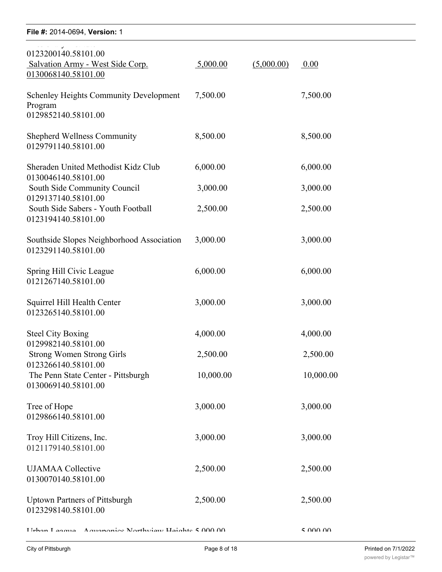| File #: 2014-0694, Version: 1                                                   |           |            |           |
|---------------------------------------------------------------------------------|-----------|------------|-----------|
| 0123200140.58101.00<br>Salvation Army - West Side Corp.<br>0130068140.58101.00  | 5,000.00  | (5,000.00) | 0.00      |
| <b>Schenley Heights Community Development</b><br>Program<br>0129852140.58101.00 | 7,500.00  |            | 7,500.00  |
| <b>Shepherd Wellness Community</b><br>0129791140.58101.00                       | 8,500.00  |            | 8,500.00  |
| Sheraden United Methodist Kidz Club<br>0130046140.58101.00                      | 6,000.00  |            | 6,000.00  |
| South Side Community Council<br>0129137140.58101.00                             | 3,000.00  |            | 3,000.00  |
| South Side Sabers - Youth Football<br>0123194140.58101.00                       | 2,500.00  |            | 2,500.00  |
| Southside Slopes Neighborhood Association<br>0123291140.58101.00                | 3,000.00  |            | 3,000.00  |
| Spring Hill Civic League<br>0121267140.58101.00                                 | 6,000.00  |            | 6,000.00  |
| Squirrel Hill Health Center<br>0123265140.58101.00                              | 3,000.00  |            | 3,000.00  |
| <b>Steel City Boxing</b><br>0129982140.58101.00                                 | 4,000.00  |            | 4,000.00  |
| <b>Strong Women Strong Girls</b><br>0123266140.58101.00                         | 2,500.00  |            | 2,500.00  |
| The Penn State Center - Pittsburgh<br>0130069140.58101.00                       | 10,000.00 |            | 10,000.00 |
| Tree of Hope<br>0129866140.58101.00                                             | 3,000.00  |            | 3,000.00  |
| Troy Hill Citizens, Inc.<br>0121179140.58101.00                                 | 3,000.00  |            | 3,000.00  |
| <b>UJAMAA</b> Collective<br>0130070140.58101.00                                 | 2,500.00  |            | 2,500.00  |
| <b>Uptown Partners of Pittsburgh</b><br>0123298140.58101.00                     | 2,500.00  |            | 2,500.00  |
| IIrhan I aagus Aguanonics Northviaw Haights 5000.00                             |           |            | 50000     |

0123264140.58101.00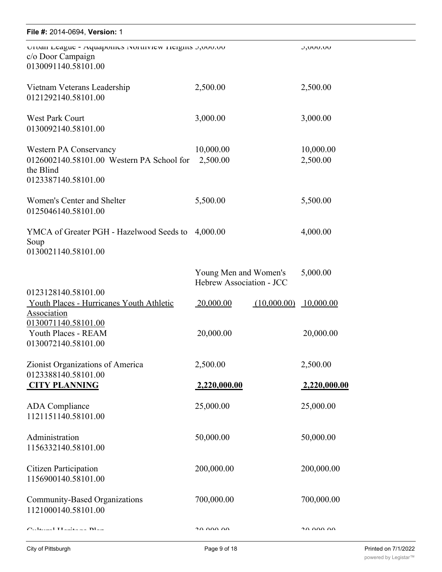| File #: 2014-0694, Version: 1                                                                           |                                                   |             |                       |
|---------------------------------------------------------------------------------------------------------|---------------------------------------------------|-------------|-----------------------|
| UTUan League - Aquaponnes ivoruiview rieigns c, ouvou<br>c/o Door Campaign<br>0130091140.58101.00       |                                                   |             | <b>J,UUU.UU</b>       |
| Vietnam Veterans Leadership<br>0121292140.58101.00                                                      | 2,500.00                                          |             | 2,500.00              |
| <b>West Park Court</b><br>0130092140.58101.00                                                           | 3,000.00                                          |             | 3,000.00              |
| Western PA Conservancy<br>0126002140.58101.00 Western PA School for<br>the Blind<br>0123387140.58101.00 | 10,000.00<br>2,500.00                             |             | 10,000.00<br>2,500.00 |
| Women's Center and Shelter<br>0125046140.58101.00                                                       | 5,500.00                                          |             | 5,500.00              |
| YMCA of Greater PGH - Hazelwood Seeds to<br>Soup<br>0130021140.58101.00                                 | 4,000.00                                          |             | 4,000.00              |
|                                                                                                         | Young Men and Women's<br>Hebrew Association - JCC |             | 5,000.00              |
| 0123128140.58101.00<br>Youth Places - Hurricanes Youth Athletic<br>Association                          | 20,000.00                                         | (10,000.00) | 10,000.00             |
| 0130071140.58101.00<br>Youth Places - REAM<br>0130072140.58101.00                                       | 20,000.00                                         |             | 20,000.00             |
| Zionist Organizations of America<br>0123388140.58101.00                                                 | 2,500.00                                          |             | 2,500.00              |
| <b>CITY PLANNING</b>                                                                                    | <u>2,220,000.00</u>                               |             | 2,220,000.00          |
| <b>ADA</b> Compliance<br>1121151140.58101.00                                                            | 25,000.00                                         |             | 25,000.00             |
| Administration<br>1156332140.58101.00                                                                   | 50,000.00                                         |             | 50,000.00             |
| <b>Citizen Participation</b><br>1156900140.58101.00                                                     | 200,000.00                                        |             | 200,000.00            |
| Community-Based Organizations<br>1121000140.58101.00                                                    | 700,000.00                                        |             | 700,000.00            |
| $C_{11}$ 11 TT' D1                                                                                      | 20.000.00                                         |             | an nun nu             |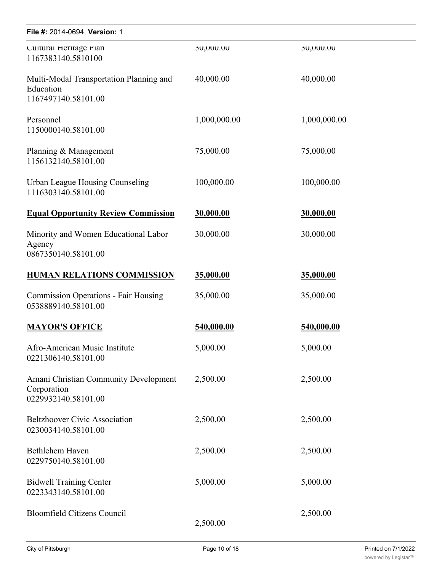| File #: 2014-0694, Version: 1                                               |              |              |
|-----------------------------------------------------------------------------|--------------|--------------|
| Cultural Heritage Plan<br>1167383140.5810100                                | 30,000.00    | 30,000.00    |
| Multi-Modal Transportation Planning and<br>Education<br>1167497140.58101.00 | 40,000.00    | 40,000.00    |
| Personnel<br>1150000140.58101.00                                            | 1,000,000.00 | 1,000,000.00 |
| Planning & Management<br>1156132140.58101.00                                | 75,000.00    | 75,000.00    |
| Urban League Housing Counseling<br>1116303140.58101.00                      | 100,000.00   | 100,000.00   |
| <b>Equal Opportunity Review Commission</b>                                  | 30,000.00    | 30,000.00    |
| Minority and Women Educational Labor<br>Agency<br>0867350140.58101.00       | 30,000.00    | 30,000.00    |
| <b>HUMAN RELATIONS COMMISSION</b>                                           | 35,000.00    | 35,000.00    |
| <b>Commission Operations - Fair Housing</b><br>0538889140.58101.00          | 35,000.00    | 35,000.00    |
| <b>MAYOR'S OFFICE</b>                                                       | 540,000.00   | 540,000.00   |
| Afro-American Music Institute<br>0221306140.58101.00                        | 5,000.00     | 5,000.00     |
| Amani Christian Community Development<br>Corporation<br>0229932140.58101.00 | 2,500.00     | 2,500.00     |
| <b>Beltzhoover Civic Association</b><br>0230034140.58101.00                 | 2,500.00     | 2,500.00     |
| Bethlehem Haven<br>0229750140.58101.00                                      | 2,500.00     | 2,500.00     |
| <b>Bidwell Training Center</b><br>0223343140.58101.00                       | 5,000.00     | 5,000.00     |
| <b>Bloomfield Citizens Council</b>                                          | 2,500.00     | 2,500.00     |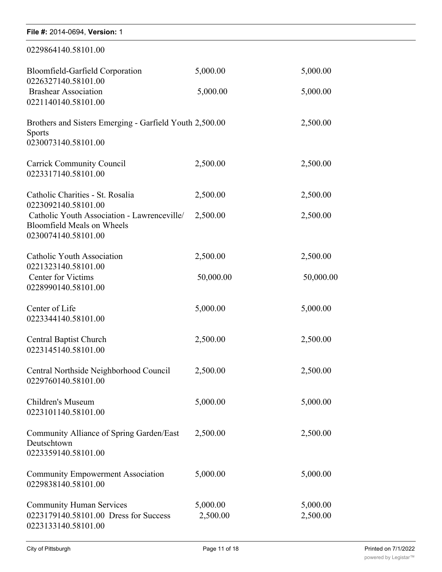| File #: 2014-0694, Version: 1                                                                           |                      |                      |
|---------------------------------------------------------------------------------------------------------|----------------------|----------------------|
| 0229864140.58101.00                                                                                     |                      |                      |
| Bloomfield-Garfield Corporation<br>0226327140.58101.00                                                  | 5,000.00             | 5,000.00             |
| <b>Brashear Association</b><br>0221140140.58101.00                                                      | 5,000.00             | 5,000.00             |
| Brothers and Sisters Emerging - Garfield Youth 2,500.00<br>Sports<br>0230073140.58101.00                |                      | 2,500.00             |
| <b>Carrick Community Council</b><br>0223317140.58101.00                                                 | 2,500.00             | 2,500.00             |
| Catholic Charities - St. Rosalia<br>0223092140.58101.00                                                 | 2,500.00             | 2,500.00             |
| Catholic Youth Association - Lawrenceville/<br><b>Bloomfield Meals on Wheels</b><br>0230074140.58101.00 | 2,500.00             | 2,500.00             |
| Catholic Youth Association<br>0221323140.58101.00                                                       | 2,500.00             | 2,500.00             |
| <b>Center for Victims</b><br>0228990140.58101.00                                                        | 50,000.00            | 50,000.00            |
| Center of Life<br>0223344140.58101.00                                                                   | 5,000.00             | 5,000.00             |
| <b>Central Baptist Church</b><br>0223145140.58101.00                                                    | 2,500.00             | 2,500.00             |
| Central Northside Neighborhood Council<br>0229760140.58101.00                                           | 2,500.00             | 2,500.00             |
| Children's Museum<br>0223101140.58101.00                                                                | 5,000.00             | 5,000.00             |
| Community Alliance of Spring Garden/East<br>Deutschtown<br>0223359140.58101.00                          | 2,500.00             | 2,500.00             |
| <b>Community Empowerment Association</b><br>0229838140.58101.00                                         | 5,000.00             | 5,000.00             |
| <b>Community Human Services</b><br>0223179140.58101.00 Dress for Success<br>0223133140.58101.00         | 5,000.00<br>2,500.00 | 5,000.00<br>2,500.00 |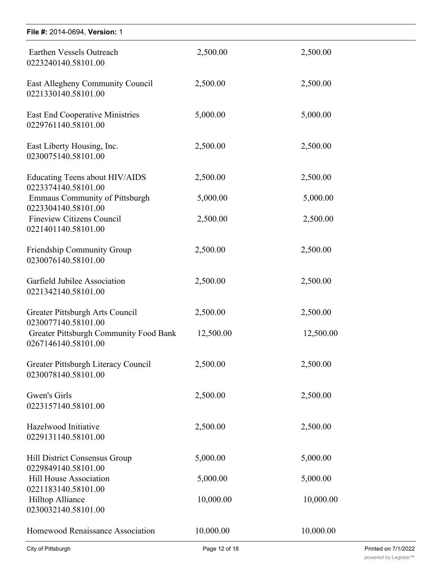| File #: 2014-0694, Version: 1                                  |           |           |
|----------------------------------------------------------------|-----------|-----------|
| Earthen Vessels Outreach<br>0223240140.58101.00                | 2,500.00  | 2,500.00  |
| East Allegheny Community Council<br>0221330140.58101.00        | 2,500.00  | 2,500.00  |
| <b>East End Cooperative Ministries</b><br>0229761140.58101.00  | 5,000.00  | 5,000.00  |
| East Liberty Housing, Inc.<br>0230075140.58101.00              | 2,500.00  | 2,500.00  |
| Educating Teens about HIV/AIDS<br>0223374140.58101.00          | 2,500.00  | 2,500.00  |
| <b>Emmaus Community of Pittsburgh</b><br>0223304140.58101.00   | 5,000.00  | 5,000.00  |
| <b>Fineview Citizens Council</b><br>0221401140.58101.00        | 2,500.00  | 2,500.00  |
| <b>Friendship Community Group</b><br>0230076140.58101.00       | 2,500.00  | 2,500.00  |
| Garfield Jubilee Association<br>0221342140.58101.00            | 2,500.00  | 2,500.00  |
| Greater Pittsburgh Arts Council<br>0230077140.58101.00         | 2,500.00  | 2,500.00  |
| Greater Pittsburgh Community Food Bank<br>0267146140.58101.00  | 12,500.00 | 12,500.00 |
| Greater Pittsburgh Literacy Council<br>0230078140.58101.00     | 2,500.00  | 2,500.00  |
| Gwen's Girls<br>0223157140.58101.00                            | 2,500.00  | 2,500.00  |
| Hazelwood Initiative<br>0229131140.58101.00                    | 2,500.00  | 2,500.00  |
| Hill District Consensus Group<br>0229849140.58101.00           | 5,000.00  | 5,000.00  |
| Hill House Association                                         | 5,000.00  | 5,000.00  |
| 0221183140.58101.00<br>Hilltop Alliance<br>0230032140.58101.00 | 10,000.00 | 10,000.00 |
| Homewood Renaissance Association                               | 10.000.00 | 10.000.00 |

Community Human Services 5,000.00 5,000.00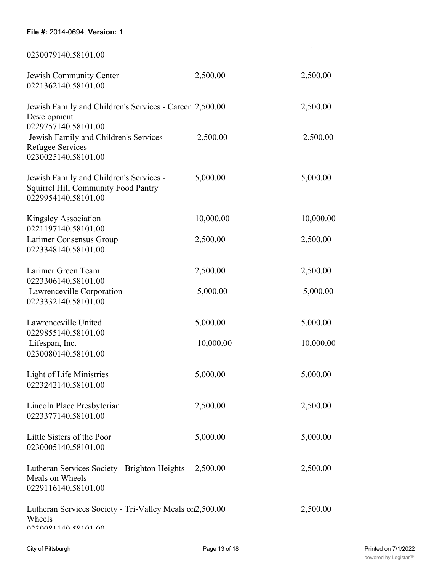| File #: 2014-0694, Version: 1                                                                                |            |                 |
|--------------------------------------------------------------------------------------------------------------|------------|-----------------|
| 0230079140.58101.00                                                                                          | 20,0000000 | - 090 0 0 0 0 0 |
| Jewish Community Center<br>0221362140.58101.00                                                               | 2,500.00   | 2,500.00        |
| Jewish Family and Children's Services - Career 2,500.00<br>Development                                       |            | 2,500.00        |
| 0229757140.58101.00<br>Jewish Family and Children's Services -<br>Refugee Services<br>0230025140.58101.00    | 2,500.00   | 2,500.00        |
| Jewish Family and Children's Services -<br><b>Squirrel Hill Community Food Pantry</b><br>0229954140.58101.00 | 5,000.00   | 5,000.00        |
| Kingsley Association<br>0221197140.58101.00                                                                  | 10,000.00  | 10,000.00       |
| Larimer Consensus Group<br>0223348140.58101.00                                                               | 2,500.00   | 2,500.00        |
| Larimer Green Team<br>0223306140.58101.00                                                                    | 2,500.00   | 2,500.00        |
| Lawrenceville Corporation<br>0223332140.58101.00                                                             | 5,000.00   | 5,000.00        |
| Lawrenceville United<br>0229855140.58101.00                                                                  | 5,000.00   | 5,000.00        |
| Lifespan, Inc.<br>0230080140.58101.00                                                                        | 10,000.00  | 10,000.00       |
| Light of Life Ministries<br>0223242140.58101.00                                                              | 5,000.00   | 5,000.00        |
| Lincoln Place Presbyterian<br>0223377140.58101.00                                                            | 2,500.00   | 2,500.00        |
| Little Sisters of the Poor<br>0230005140.58101.00                                                            | 5,000.00   | 5,000.00        |
| Lutheran Services Society - Brighton Heights<br>Meals on Wheels<br>0229116140.58101.00                       | 2,500.00   | 2,500.00        |
| Lutheran Services Society - Tri-Valley Meals on2,500.00<br>Wheels<br>0020001140 50101 00                     |            | 2,500.00        |

Macedonia Family and Community Enrichment

 $5,000$   $5,000$   $5,000$   $5,000$   $5,000$   $5,000$   $5,000$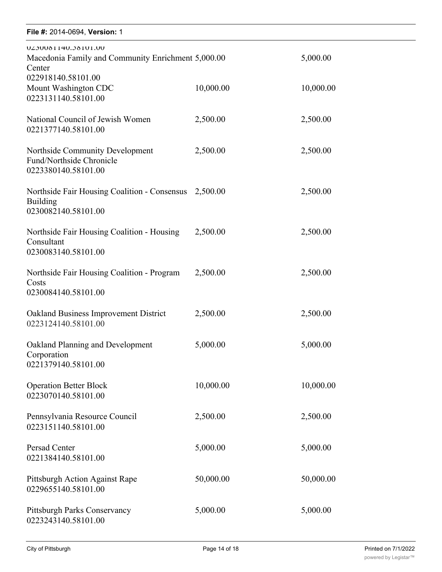#### **File #:** 2014-0694, Version: 1  $\frac{m \cdot E}{2}$

| UZ3UU8114U.J81U1.UU<br>Macedonia Family and Community Enrichment 5,000.00<br>Center      |           | 5,000.00  |
|------------------------------------------------------------------------------------------|-----------|-----------|
| 022918140.58101.00<br>Mount Washington CDC<br>0223131140.58101.00                        | 10,000.00 | 10,000.00 |
| National Council of Jewish Women<br>0221377140.58101.00                                  | 2,500.00  | 2,500.00  |
| Northside Community Development<br>Fund/Northside Chronicle<br>0223380140.58101.00       | 2,500.00  | 2,500.00  |
| Northside Fair Housing Coalition - Consensus 2,500.00<br>Building<br>0230082140.58101.00 |           | 2,500.00  |
| Northside Fair Housing Coalition - Housing<br>Consultant<br>0230083140.58101.00          | 2,500.00  | 2,500.00  |
| Northside Fair Housing Coalition - Program<br>Costs<br>0230084140.58101.00               | 2,500.00  | 2,500.00  |
| Oakland Business Improvement District<br>0223124140.58101.00                             | 2,500.00  | 2,500.00  |
| Oakland Planning and Development<br>Corporation<br>0221379140.58101.00                   | 5,000.00  | 5,000.00  |
| <b>Operation Better Block</b><br>0223070140.58101.00                                     | 10,000.00 | 10,000.00 |
| Pennsylvania Resource Council<br>0223151140.58101.00                                     | 2,500.00  | 2,500.00  |
| Persad Center<br>0221384140.58101.00                                                     | 5,000.00  | 5,000.00  |
| Pittsburgh Action Against Rape<br>0229655140.58101.00                                    | 50,000.00 | 50,000.00 |
| Pittsburgh Parks Conservancy<br>0223243140.58101.00                                      | 5,000.00  | 5,000.00  |

2,500.00 2,500.00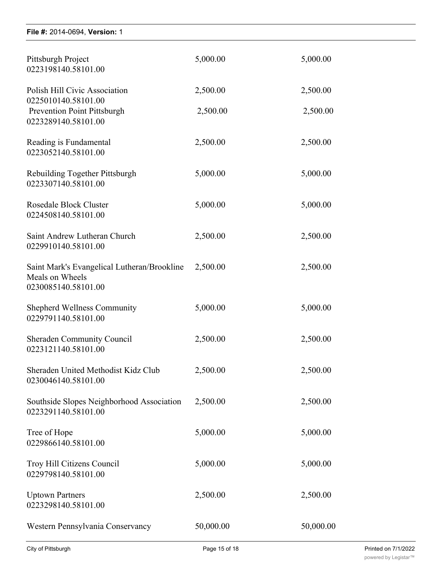| File #: 2014-0694, Version: 1                                                         |           |           |
|---------------------------------------------------------------------------------------|-----------|-----------|
| Pittsburgh Project<br>0223198140.58101.00                                             | 5,000.00  | 5,000.00  |
| Polish Hill Civic Association                                                         | 2,500.00  | 2,500.00  |
| 0225010140.58101.00<br><b>Prevention Point Pittsburgh</b><br>0223289140.58101.00      | 2,500.00  | 2,500.00  |
| Reading is Fundamental<br>0223052140.58101.00                                         | 2,500.00  | 2,500.00  |
| Rebuilding Together Pittsburgh<br>0223307140.58101.00                                 | 5,000.00  | 5,000.00  |
| <b>Rosedale Block Cluster</b><br>0224508140.58101.00                                  | 5,000.00  | 5,000.00  |
| Saint Andrew Lutheran Church<br>0229910140.58101.00                                   | 2,500.00  | 2,500.00  |
| Saint Mark's Evangelical Lutheran/Brookline<br>Meals on Wheels<br>0230085140.58101.00 | 2,500.00  | 2,500.00  |
| <b>Shepherd Wellness Community</b><br>0229791140.58101.00                             | 5,000.00  | 5,000.00  |
| <b>Sheraden Community Council</b><br>0223121140.58101.00                              | 2,500.00  | 2,500.00  |
| Sheraden United Methodist Kidz Club<br>0230046140.58101.00                            | 2,500.00  | 2,500.00  |
| Southside Slopes Neighborhood Association<br>0223291140.58101.00                      | 2,500.00  | 2,500.00  |
| Tree of Hope<br>0229866140.58101.00                                                   | 5,000.00  | 5,000.00  |
| Troy Hill Citizens Council<br>0229798140.58101.00                                     | 5,000.00  | 5,000.00  |
| <b>Uptown Partners</b><br>0223298140.58101.00                                         | 2,500.00  | 2,500.00  |
| Western Pennsylvania Conservancy                                                      | 50,000.00 | 50,000.00 |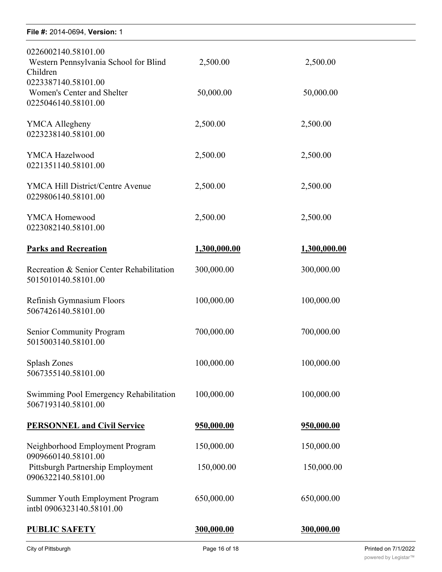| 2,500.00     | 2,500.00     |  |
|--------------|--------------|--|
| 50,000.00    | 50,000.00    |  |
| 2,500.00     | 2,500.00     |  |
| 2,500.00     | 2,500.00     |  |
| 2,500.00     | 2,500.00     |  |
| 2,500.00     | 2,500.00     |  |
| 1,300,000.00 | 1,300,000.00 |  |
| 300,000.00   | 300,000.00   |  |
| 100,000.00   | 100,000.00   |  |
| 700,000.00   | 700,000.00   |  |
| 100,000.00   | 100,000.00   |  |
| 100,000.00   | 100,000.00   |  |
| 950,000.00   | 950,000.00   |  |
| 150,000.00   | 150,000.00   |  |
| 150,000.00   | 150,000.00   |  |
| 650,000.00   | 650,000.00   |  |
| 300,000.00   | 300,000.00   |  |
|              |              |  |

0223298140.58101.00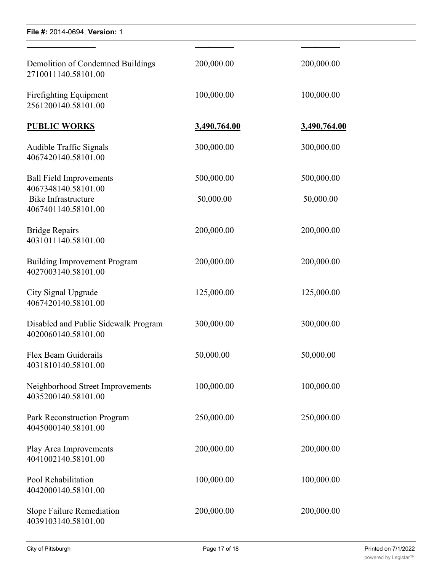| Demolition of Condemned Buildings<br>2710011140.58101.00                 | 200,000.00          | 200,000.00          |
|--------------------------------------------------------------------------|---------------------|---------------------|
| Firefighting Equipment<br>2561200140.58101.00                            | 100,000.00          | 100,000.00          |
| <b>PUBLIC WORKS</b>                                                      | <u>3,490,764.00</u> | <u>3,490,764.00</u> |
| Audible Traffic Signals<br>4067420140.58101.00                           | 300,000.00          | 300,000.00          |
| <b>Ball Field Improvements</b>                                           | 500,000.00          | 500,000.00          |
| 4067348140.58101.00<br><b>Bike Infrastructure</b><br>4067401140.58101.00 | 50,000.00           | 50,000.00           |
| <b>Bridge Repairs</b><br>4031011140.58101.00                             | 200,000.00          | 200,000.00          |
| <b>Building Improvement Program</b><br>4027003140.58101.00               | 200,000.00          | 200,000.00          |
| City Signal Upgrade<br>4067420140.58101.00                               | 125,000.00          | 125,000.00          |
| Disabled and Public Sidewalk Program<br>4020060140.58101.00              | 300,000.00          | 300,000.00          |
| Flex Beam Guiderails<br>4031810140.58101.00                              | 50,000.00           | 50,000.00           |
| Neighborhood Street Improvements<br>4035200140.58101.00                  | 100,000.00          | 100,000.00          |
| Park Reconstruction Program<br>4045000140.58101.00                       | 250,000.00          | 250,000.00          |
| Play Area Improvements<br>4041002140.58101.00                            | 200,000.00          | 200,000.00          |
| Pool Rehabilitation<br>4042000140.58101.00                               | 100,000.00          | 100,000.00          |
| Slope Failure Remediation<br>4039103140.58101.00                         | 200,000.00          | 200,000.00          |

**PUBLIC SAFETY 300,000.00 300,000.00**